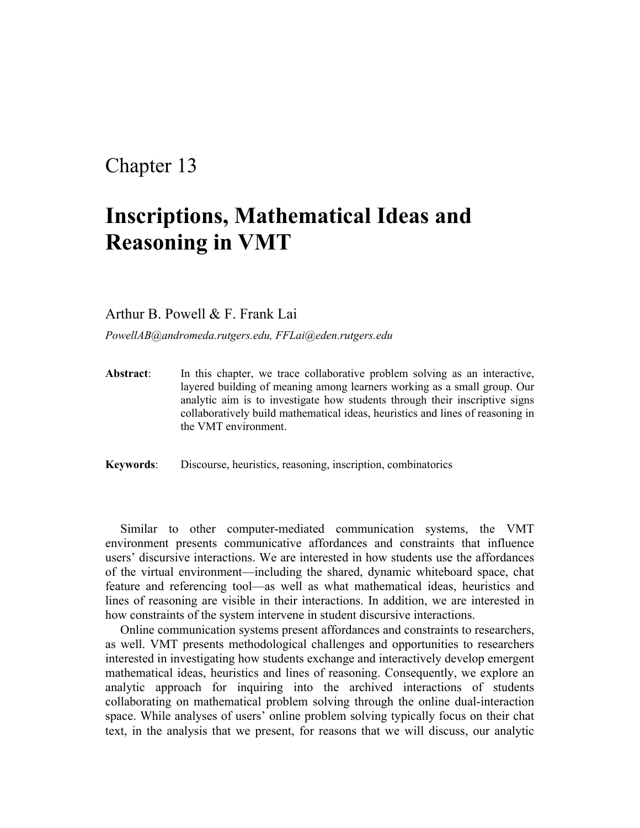# Chapter 13

# **Inscriptions, Mathematical Ideas and Reasoning in VMT**

### Arthur B. Powell & F. Frank Lai

*PowellAB@andromeda.rutgers.edu, FFLai@eden.rutgers.edu*

- **Abstract**: In this chapter, we trace collaborative problem solving as an interactive, layered building of meaning among learners working as a small group. Our analytic aim is to investigate how students through their inscriptive signs collaboratively build mathematical ideas, heuristics and lines of reasoning in the VMT environment.
- **Keywords**: Discourse, heuristics, reasoning, inscription, combinatorics

Similar to other computer-mediated communication systems, the VMT environment presents communicative affordances and constraints that influence users' discursive interactions. We are interested in how students use the affordances of the virtual environment—including the shared, dynamic whiteboard space, chat feature and referencing tool—as well as what mathematical ideas, heuristics and lines of reasoning are visible in their interactions. In addition, we are interested in how constraints of the system intervene in student discursive interactions.

Online communication systems present affordances and constraints to researchers, as well. VMT presents methodological challenges and opportunities to researchers interested in investigating how students exchange and interactively develop emergent mathematical ideas, heuristics and lines of reasoning. Consequently, we explore an analytic approach for inquiring into the archived interactions of students collaborating on mathematical problem solving through the online dual-interaction space. While analyses of users' online problem solving typically focus on their chat text, in the analysis that we present, for reasons that we will discuss, our analytic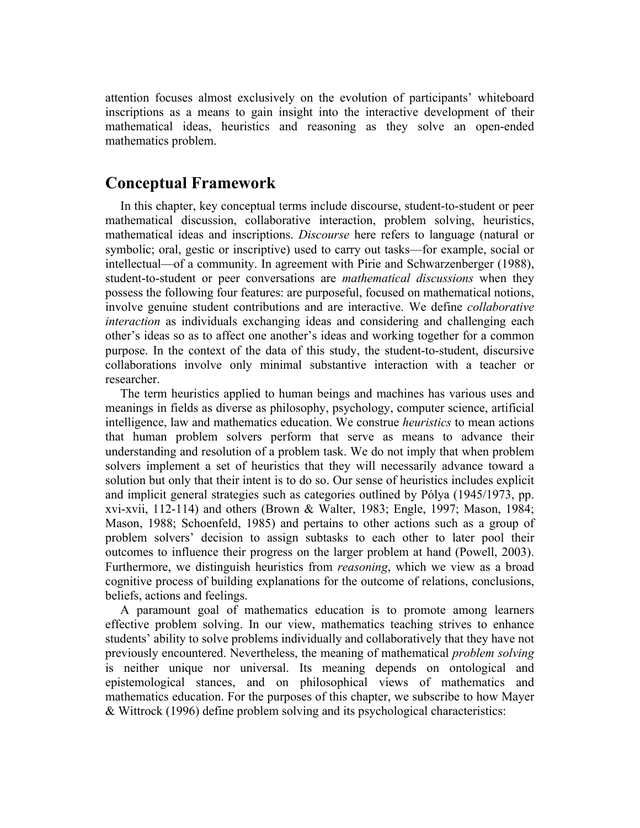attention focuses almost exclusively on the evolution of participants' whiteboard inscriptions as a means to gain insight into the interactive development of their mathematical ideas, heuristics and reasoning as they solve an open-ended mathematics problem.

### **Conceptual Framework**

In this chapter, key conceptual terms include discourse, student-to-student or peer mathematical discussion, collaborative interaction, problem solving, heuristics, mathematical ideas and inscriptions. *Discourse* here refers to language (natural or symbolic; oral, gestic or inscriptive) used to carry out tasks—for example, social or intellectual—of a community. In agreement with Pirie and Schwarzenberger (1988), student-to-student or peer conversations are *mathematical discussions* when they possess the following four features: are purposeful, focused on mathematical notions, involve genuine student contributions and are interactive. We define *collaborative interaction* as individuals exchanging ideas and considering and challenging each other's ideas so as to affect one another's ideas and working together for a common purpose. In the context of the data of this study, the student-to-student, discursive collaborations involve only minimal substantive interaction with a teacher or researcher.

The term heuristics applied to human beings and machines has various uses and meanings in fields as diverse as philosophy, psychology, computer science, artificial intelligence, law and mathematics education. We construe *heuristics* to mean actions that human problem solvers perform that serve as means to advance their understanding and resolution of a problem task. We do not imply that when problem solvers implement a set of heuristics that they will necessarily advance toward a solution but only that their intent is to do so. Our sense of heuristics includes explicit and implicit general strategies such as categories outlined by Pólya (1945/1973, pp. xvi-xvii, 112-114) and others (Brown & Walter, 1983; Engle, 1997; Mason, 1984; Mason, 1988; Schoenfeld, 1985) and pertains to other actions such as a group of problem solvers' decision to assign subtasks to each other to later pool their outcomes to influence their progress on the larger problem at hand (Powell, 2003). Furthermore, we distinguish heuristics from *reasoning*, which we view as a broad cognitive process of building explanations for the outcome of relations, conclusions, beliefs, actions and feelings.

A paramount goal of mathematics education is to promote among learners effective problem solving. In our view, mathematics teaching strives to enhance students' ability to solve problems individually and collaboratively that they have not previously encountered. Nevertheless, the meaning of mathematical *problem solving* is neither unique nor universal. Its meaning depends on ontological and epistemological stances, and on philosophical views of mathematics and mathematics education. For the purposes of this chapter, we subscribe to how Mayer & Wittrock (1996) define problem solving and its psychological characteristics: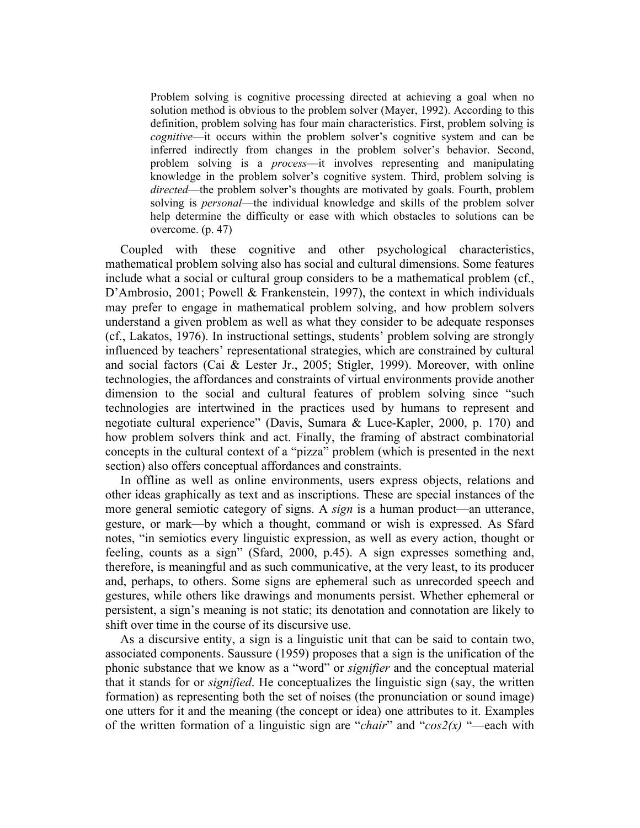Problem solving is cognitive processing directed at achieving a goal when no solution method is obvious to the problem solver (Mayer, 1992). According to this definition, problem solving has four main characteristics. First, problem solving is *cognitive*—it occurs within the problem solver's cognitive system and can be inferred indirectly from changes in the problem solver's behavior. Second, problem solving is a *process*—it involves representing and manipulating knowledge in the problem solver's cognitive system. Third, problem solving is *directed*—the problem solver's thoughts are motivated by goals. Fourth, problem solving is *personal*—the individual knowledge and skills of the problem solver help determine the difficulty or ease with which obstacles to solutions can be overcome. (p. 47)

Coupled with these cognitive and other psychological characteristics, mathematical problem solving also has social and cultural dimensions. Some features include what a social or cultural group considers to be a mathematical problem (cf., D'Ambrosio, 2001; Powell & Frankenstein, 1997), the context in which individuals may prefer to engage in mathematical problem solving, and how problem solvers understand a given problem as well as what they consider to be adequate responses (cf., Lakatos, 1976). In instructional settings, students' problem solving are strongly influenced by teachers' representational strategies, which are constrained by cultural and social factors (Cai & Lester Jr., 2005; Stigler, 1999). Moreover, with online technologies, the affordances and constraints of virtual environments provide another dimension to the social and cultural features of problem solving since "such technologies are intertwined in the practices used by humans to represent and negotiate cultural experience" (Davis, Sumara & Luce-Kapler, 2000, p. 170) and how problem solvers think and act. Finally, the framing of abstract combinatorial concepts in the cultural context of a "pizza" problem (which is presented in the next section) also offers conceptual affordances and constraints.

In offline as well as online environments, users express objects, relations and other ideas graphically as text and as inscriptions. These are special instances of the more general semiotic category of signs. A *sign* is a human product—an utterance, gesture, or mark—by which a thought, command or wish is expressed. As Sfard notes, "in semiotics every linguistic expression, as well as every action, thought or feeling, counts as a sign" (Sfard, 2000, p.45). A sign expresses something and, therefore, is meaningful and as such communicative, at the very least, to its producer and, perhaps, to others. Some signs are ephemeral such as unrecorded speech and gestures, while others like drawings and monuments persist. Whether ephemeral or persistent, a sign's meaning is not static; its denotation and connotation are likely to shift over time in the course of its discursive use.

As a discursive entity, a sign is a linguistic unit that can be said to contain two, associated components. Saussure (1959) proposes that a sign is the unification of the phonic substance that we know as a "word" or *signifier* and the conceptual material that it stands for or *signified*. He conceptualizes the linguistic sign (say, the written formation) as representing both the set of noises (the pronunciation or sound image) one utters for it and the meaning (the concept or idea) one attributes to it. Examples of the written formation of a linguistic sign are "*chair*" and "*cos2(x)* "—each with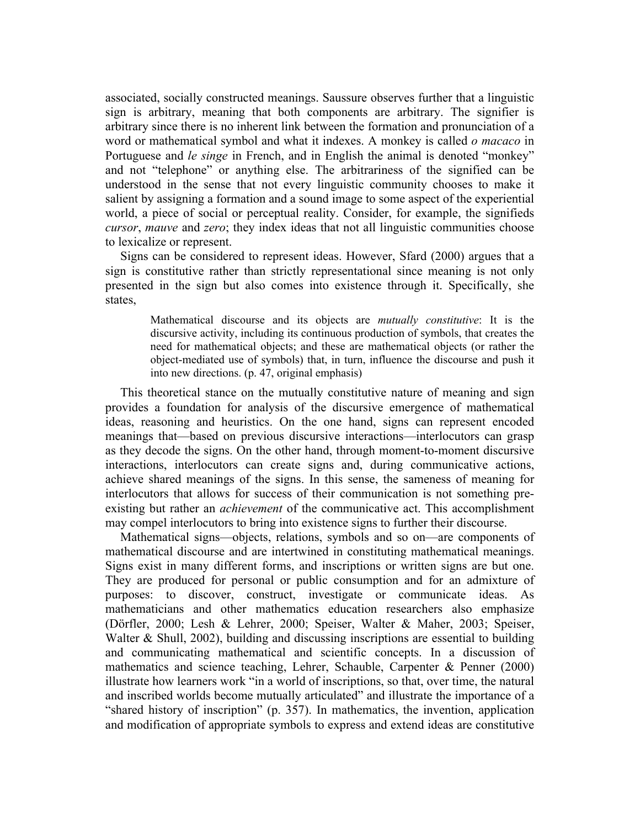associated, socially constructed meanings. Saussure observes further that a linguistic sign is arbitrary, meaning that both components are arbitrary. The signifier is arbitrary since there is no inherent link between the formation and pronunciation of a word or mathematical symbol and what it indexes. A monkey is called *o macaco* in Portuguese and *le singe* in French, and in English the animal is denoted "monkey" and not "telephone" or anything else. The arbitrariness of the signified can be understood in the sense that not every linguistic community chooses to make it salient by assigning a formation and a sound image to some aspect of the experiential world, a piece of social or perceptual reality. Consider, for example, the signifieds *cursor*, *mauve* and *zero*; they index ideas that not all linguistic communities choose to lexicalize or represent.

Signs can be considered to represent ideas. However, Sfard (2000) argues that a sign is constitutive rather than strictly representational since meaning is not only presented in the sign but also comes into existence through it. Specifically, she states,

> Mathematical discourse and its objects are *mutually constitutive*: It is the discursive activity, including its continuous production of symbols, that creates the need for mathematical objects; and these are mathematical objects (or rather the object-mediated use of symbols) that, in turn, influence the discourse and push it into new directions. (p. 47, original emphasis)

This theoretical stance on the mutually constitutive nature of meaning and sign provides a foundation for analysis of the discursive emergence of mathematical ideas, reasoning and heuristics. On the one hand, signs can represent encoded meanings that—based on previous discursive interactions—interlocutors can grasp as they decode the signs. On the other hand, through moment-to-moment discursive interactions, interlocutors can create signs and, during communicative actions, achieve shared meanings of the signs. In this sense, the sameness of meaning for interlocutors that allows for success of their communication is not something preexisting but rather an *achievement* of the communicative act. This accomplishment may compel interlocutors to bring into existence signs to further their discourse.

Mathematical signs—objects, relations, symbols and so on—are components of mathematical discourse and are intertwined in constituting mathematical meanings. Signs exist in many different forms, and inscriptions or written signs are but one. They are produced for personal or public consumption and for an admixture of purposes: to discover, construct, investigate or communicate ideas. As mathematicians and other mathematics education researchers also emphasize (Dörfler, 2000; Lesh & Lehrer, 2000; Speiser, Walter & Maher, 2003; Speiser, Walter & Shull, 2002), building and discussing inscriptions are essential to building and communicating mathematical and scientific concepts. In a discussion of mathematics and science teaching, Lehrer, Schauble, Carpenter & Penner (2000) illustrate how learners work "in a world of inscriptions, so that, over time, the natural and inscribed worlds become mutually articulated" and illustrate the importance of a "shared history of inscription" (p. 357). In mathematics, the invention, application and modification of appropriate symbols to express and extend ideas are constitutive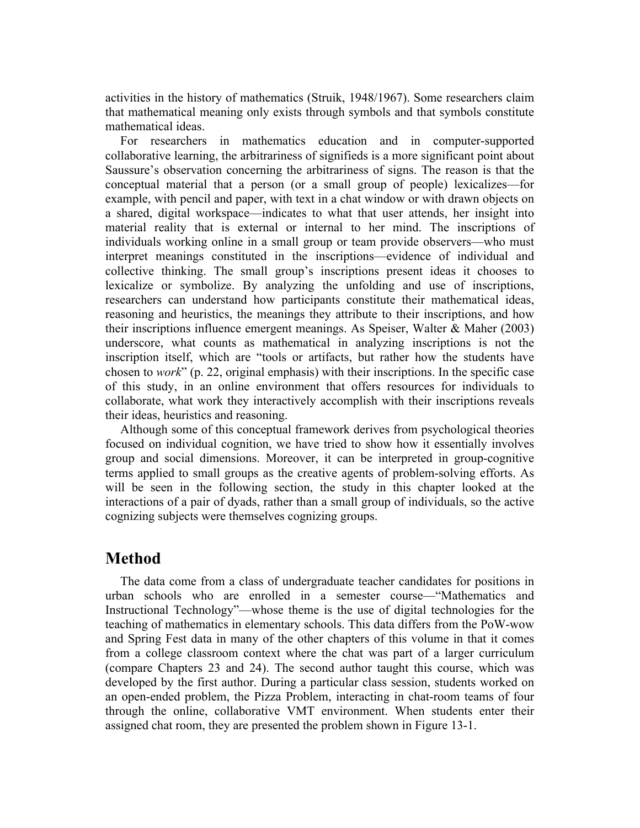activities in the history of mathematics (Struik, 1948/1967). Some researchers claim that mathematical meaning only exists through symbols and that symbols constitute mathematical ideas.

For researchers in mathematics education and in computer-supported collaborative learning, the arbitrariness of signifieds is a more significant point about Saussure's observation concerning the arbitrariness of signs. The reason is that the conceptual material that a person (or a small group of people) lexicalizes—for example, with pencil and paper, with text in a chat window or with drawn objects on a shared, digital workspace—indicates to what that user attends, her insight into material reality that is external or internal to her mind. The inscriptions of individuals working online in a small group or team provide observers—who must interpret meanings constituted in the inscriptions—evidence of individual and collective thinking. The small group's inscriptions present ideas it chooses to lexicalize or symbolize. By analyzing the unfolding and use of inscriptions, researchers can understand how participants constitute their mathematical ideas, reasoning and heuristics, the meanings they attribute to their inscriptions, and how their inscriptions influence emergent meanings. As Speiser, Walter & Maher (2003) underscore, what counts as mathematical in analyzing inscriptions is not the inscription itself, which are "tools or artifacts, but rather how the students have chosen to *work*" (p. 22, original emphasis) with their inscriptions. In the specific case of this study, in an online environment that offers resources for individuals to collaborate, what work they interactively accomplish with their inscriptions reveals their ideas, heuristics and reasoning.

Although some of this conceptual framework derives from psychological theories focused on individual cognition, we have tried to show how it essentially involves group and social dimensions. Moreover, it can be interpreted in group-cognitive terms applied to small groups as the creative agents of problem-solving efforts. As will be seen in the following section, the study in this chapter looked at the interactions of a pair of dyads, rather than a small group of individuals, so the active cognizing subjects were themselves cognizing groups.

### **Method**

The data come from a class of undergraduate teacher candidates for positions in urban schools who are enrolled in a semester course—"Mathematics and Instructional Technology"—whose theme is the use of digital technologies for the teaching of mathematics in elementary schools. This data differs from the PoW-wow and Spring Fest data in many of the other chapters of this volume in that it comes from a college classroom context where the chat was part of a larger curriculum (compare Chapters 23 and 24). The second author taught this course, which was developed by the first author. During a particular class session, students worked on an open-ended problem, the Pizza Problem, interacting in chat-room teams of four through the online, collaborative VMT environment. When students enter their assigned chat room, they are presented the problem shown in Figure 13-1.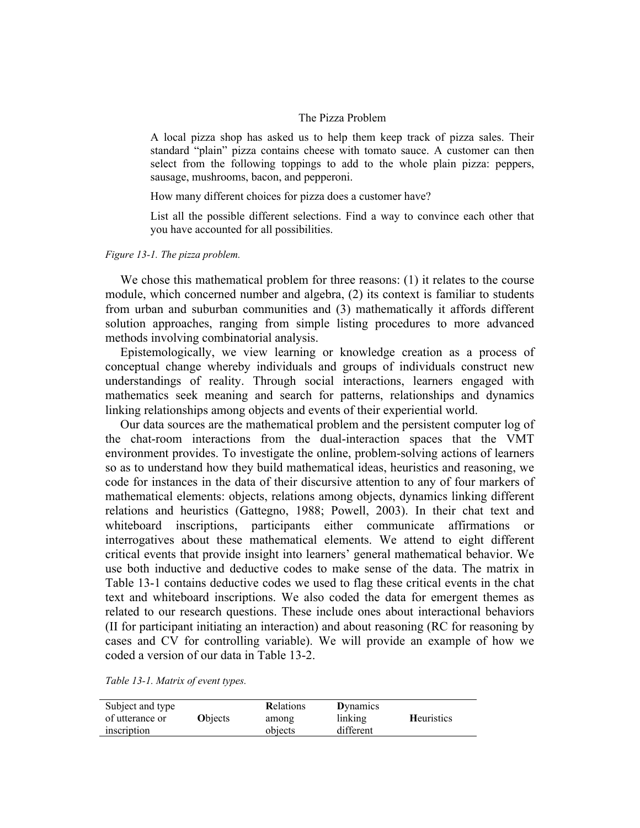#### The Pizza Problem

A local pizza shop has asked us to help them keep track of pizza sales. Their standard "plain" pizza contains cheese with tomato sauce. A customer can then select from the following toppings to add to the whole plain pizza: peppers, sausage, mushrooms, bacon, and pepperoni.

How many different choices for pizza does a customer have?

List all the possible different selections. Find a way to convince each other that you have accounted for all possibilities.

#### *Figure 13-1. The pizza problem.*

We chose this mathematical problem for three reasons: (1) it relates to the course module, which concerned number and algebra, (2) its context is familiar to students from urban and suburban communities and (3) mathematically it affords different solution approaches, ranging from simple listing procedures to more advanced methods involving combinatorial analysis.

Epistemologically, we view learning or knowledge creation as a process of conceptual change whereby individuals and groups of individuals construct new understandings of reality. Through social interactions, learners engaged with mathematics seek meaning and search for patterns, relationships and dynamics linking relationships among objects and events of their experiential world.

Our data sources are the mathematical problem and the persistent computer log of the chat-room interactions from the dual-interaction spaces that the VMT environment provides. To investigate the online, problem-solving actions of learners so as to understand how they build mathematical ideas, heuristics and reasoning, we code for instances in the data of their discursive attention to any of four markers of mathematical elements: objects, relations among objects, dynamics linking different relations and heuristics (Gattegno, 1988; Powell, 2003). In their chat text and whiteboard inscriptions, participants either communicate affirmations or interrogatives about these mathematical elements. We attend to eight different critical events that provide insight into learners' general mathematical behavior. We use both inductive and deductive codes to make sense of the data. The matrix in Table 13-1 contains deductive codes we used to flag these critical events in the chat text and whiteboard inscriptions. We also coded the data for emergent themes as related to our research questions. These include ones about interactional behaviors (II for participant initiating an interaction) and about reasoning (RC for reasoning by cases and CV for controlling variable). We will provide an example of how we coded a version of our data in Table 13-2.

*Table 13-1. Matrix of event types.* 

| Subject and type<br>of utterance or | <b>O</b> bjects | <b>Relations</b><br>among | Dynamics<br>linking | <b>H</b> euristics |
|-------------------------------------|-----------------|---------------------------|---------------------|--------------------|
| inscription                         |                 | objects                   | different           |                    |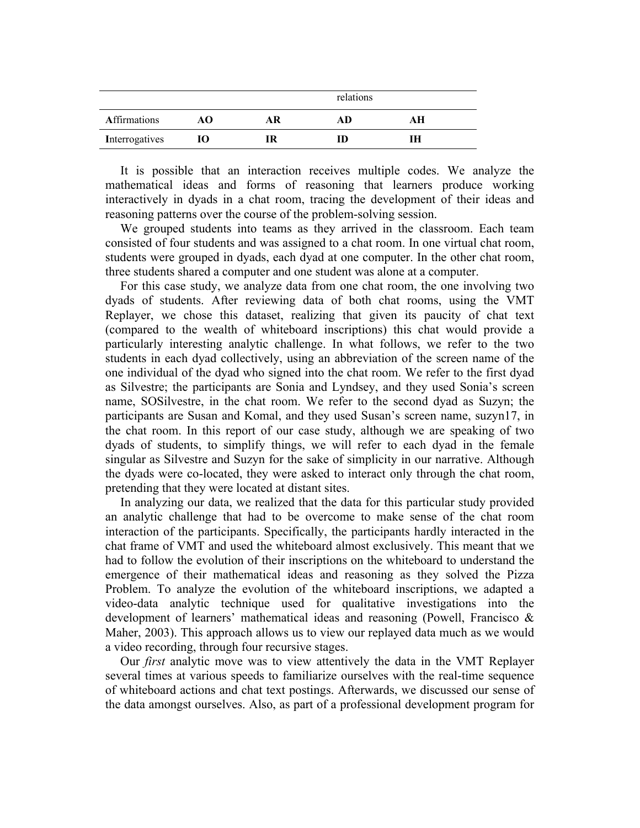|                |    | relations |    |    |
|----------------|----|-----------|----|----|
| Affirmations   | AО | AR.       | AD | AН |
| Interrogatives | 10 | R         | D  |    |

It is possible that an interaction receives multiple codes. We analyze the mathematical ideas and forms of reasoning that learners produce working interactively in dyads in a chat room, tracing the development of their ideas and reasoning patterns over the course of the problem-solving session.

We grouped students into teams as they arrived in the classroom. Each team consisted of four students and was assigned to a chat room. In one virtual chat room, students were grouped in dyads, each dyad at one computer. In the other chat room, three students shared a computer and one student was alone at a computer.

For this case study, we analyze data from one chat room, the one involving two dyads of students. After reviewing data of both chat rooms, using the VMT Replayer, we chose this dataset, realizing that given its paucity of chat text (compared to the wealth of whiteboard inscriptions) this chat would provide a particularly interesting analytic challenge. In what follows, we refer to the two students in each dyad collectively, using an abbreviation of the screen name of the one individual of the dyad who signed into the chat room. We refer to the first dyad as Silvestre; the participants are Sonia and Lyndsey, and they used Sonia's screen name, SOSilvestre, in the chat room. We refer to the second dyad as Suzyn; the participants are Susan and Komal, and they used Susan's screen name, suzyn17, in the chat room. In this report of our case study, although we are speaking of two dyads of students, to simplify things, we will refer to each dyad in the female singular as Silvestre and Suzyn for the sake of simplicity in our narrative. Although the dyads were co-located, they were asked to interact only through the chat room, pretending that they were located at distant sites.

In analyzing our data, we realized that the data for this particular study provided an analytic challenge that had to be overcome to make sense of the chat room interaction of the participants. Specifically, the participants hardly interacted in the chat frame of VMT and used the whiteboard almost exclusively. This meant that we had to follow the evolution of their inscriptions on the whiteboard to understand the emergence of their mathematical ideas and reasoning as they solved the Pizza Problem. To analyze the evolution of the whiteboard inscriptions, we adapted a video-data analytic technique used for qualitative investigations into the development of learners' mathematical ideas and reasoning (Powell, Francisco & Maher, 2003). This approach allows us to view our replayed data much as we would a video recording, through four recursive stages.

Our *first* analytic move was to view attentively the data in the VMT Replayer several times at various speeds to familiarize ourselves with the real-time sequence of whiteboard actions and chat text postings. Afterwards, we discussed our sense of the data amongst ourselves. Also, as part of a professional development program for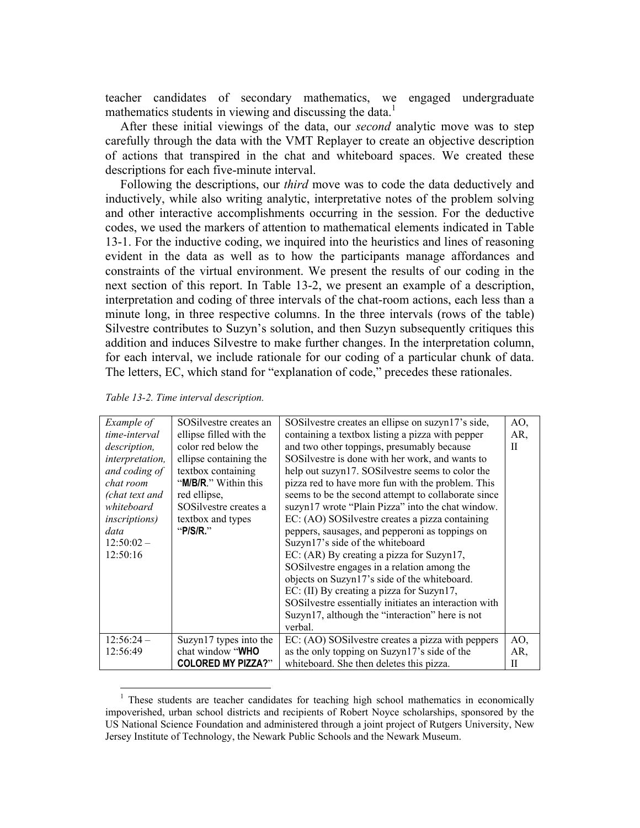teacher candidates of secondary mathematics, we engaged undergraduate mathematics students in viewing and discussing the data.<sup>1</sup>

After these initial viewings of the data, our *second* analytic move was to step carefully through the data with the VMT Replayer to create an objective description of actions that transpired in the chat and whiteboard spaces. We created these descriptions for each five-minute interval.

Following the descriptions, our *third* move was to code the data deductively and inductively, while also writing analytic, interpretative notes of the problem solving and other interactive accomplishments occurring in the session. For the deductive codes, we used the markers of attention to mathematical elements indicated in Table 13-1. For the inductive coding, we inquired into the heuristics and lines of reasoning evident in the data as well as to how the participants manage affordances and constraints of the virtual environment. We present the results of our coding in the next section of this report. In Table 13-2, we present an example of a description, interpretation and coding of three intervals of the chat-room actions, each less than a minute long, in three respective columns. In the three intervals (rows of the table) Silvestre contributes to Suzyn's solution, and then Suzyn subsequently critiques this addition and induces Silvestre to make further changes. In the interpretation column, for each interval, we include rationale for our coding of a particular chunk of data. The letters, EC, which stand for "explanation of code," precedes these rationales.

| Example of<br>time-interval<br><i>description,</i><br><i>interpretation,</i><br>and coding of<br>chat room<br>(chat text and<br>whiteboard<br><i>inscriptions</i> )<br>data<br>$12:50:02-$<br>12:50:16 | SOSilvestre creates an<br>ellipse filled with the<br>color red below the<br>ellipse containing the<br>textbox containing<br>"M/B/R." Within this<br>red ellipse,<br>SOSilvestre creates a<br>textbox and types<br>" $P/S/R$ ." | SOSilvestre creates an ellipse on suzyn17's side,<br>containing a textbox listing a pizza with pepper<br>and two other toppings, presumably because<br>SOS ilvestre is done with her work, and wants to<br>help out suzyn17. SOSilvestre seems to color the<br>pizza red to have more fun with the problem. This<br>seems to be the second attempt to collaborate since<br>suzyn17 wrote "Plain Pizza" into the chat window.<br>EC: (AO) SOSilvestre creates a pizza containing<br>peppers, sausages, and pepperoni as toppings on<br>Suzyn17's side of the whiteboard<br>EC: (AR) By creating a pizza for Suzyn17,<br>SOSilvestre engages in a relation among the<br>objects on Suzyn17's side of the whiteboard.<br>EC: (II) By creating a pizza for Suzyn17,<br>SOSilvestre essentially initiates an interaction with<br>Suzyn17, although the "interaction" here is not<br>verbal. | AO,<br>AR,<br>Н |
|--------------------------------------------------------------------------------------------------------------------------------------------------------------------------------------------------------|--------------------------------------------------------------------------------------------------------------------------------------------------------------------------------------------------------------------------------|----------------------------------------------------------------------------------------------------------------------------------------------------------------------------------------------------------------------------------------------------------------------------------------------------------------------------------------------------------------------------------------------------------------------------------------------------------------------------------------------------------------------------------------------------------------------------------------------------------------------------------------------------------------------------------------------------------------------------------------------------------------------------------------------------------------------------------------------------------------------------------------|-----------------|
| $12:56:24-$<br>12:56:49                                                                                                                                                                                | Suzyn17 types into the<br>chat window "WHO<br><b>COLORED MY PIZZA?"</b>                                                                                                                                                        | EC: (AO) SOSilvestre creates a pizza with peppers<br>as the only topping on Suzyn17's side of the<br>whiteboard. She then deletes this pizza.                                                                                                                                                                                                                                                                                                                                                                                                                                                                                                                                                                                                                                                                                                                                          | AO,<br>AR,<br>Н |

|  |  |  | Table 13-2. Time interval description. |  |
|--|--|--|----------------------------------------|--|
|--|--|--|----------------------------------------|--|

 $<sup>1</sup>$  These students are teacher candidates for teaching high school mathematics in economically</sup> impoverished, urban school districts and recipients of Robert Noyce scholarships, sponsored by the US National Science Foundation and administered through a joint project of Rutgers University, New Jersey Institute of Technology, the Newark Public Schools and the Newark Museum.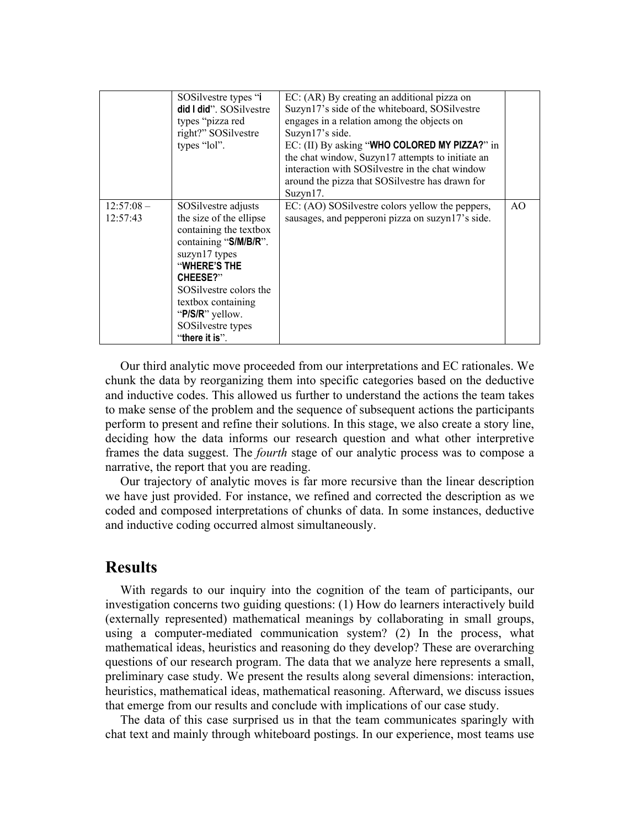|                         | SOSilvestre types "i<br>did I did". SOSilvestre<br>types "pizza red<br>right?" SOSilvestre<br>types "lol".                                                                                                                                               | $EC: (AR)$ By creating an additional pizza on<br>Suzyn17's side of the whiteboard, SOSilvestre<br>engages in a relation among the objects on<br>Suzyn17's side.<br>EC: (II) By asking "WHO COLORED MY PIZZA?" in<br>the chat window, Suzyn17 attempts to initiate an<br>interaction with SOSilvestre in the chat window<br>around the pizza that SOSilvestre has drawn for<br>Suzv <sub>n</sub> 17. |     |
|-------------------------|----------------------------------------------------------------------------------------------------------------------------------------------------------------------------------------------------------------------------------------------------------|-----------------------------------------------------------------------------------------------------------------------------------------------------------------------------------------------------------------------------------------------------------------------------------------------------------------------------------------------------------------------------------------------------|-----|
| $12:57:08-$<br>12:57:43 | SOSilvestre adjusts<br>the size of the ellipse<br>containing the textbox<br>containing "S/M/B/R".<br>suzyn17 types<br>"WHERE'S THE<br>CHEESE?"<br>SOSilvestre colors the<br>textbox containing<br>"P/S/R" yellow.<br>SOSilvestre types<br>"there it is". | EC: (AO) SOSilvestre colors yellow the peppers,<br>sausages, and pepperoni pizza on suzyn17's side.                                                                                                                                                                                                                                                                                                 | AO. |

Our third analytic move proceeded from our interpretations and EC rationales. We chunk the data by reorganizing them into specific categories based on the deductive and inductive codes. This allowed us further to understand the actions the team takes to make sense of the problem and the sequence of subsequent actions the participants perform to present and refine their solutions. In this stage, we also create a story line, deciding how the data informs our research question and what other interpretive frames the data suggest. The *fourth* stage of our analytic process was to compose a narrative, the report that you are reading.

Our trajectory of analytic moves is far more recursive than the linear description we have just provided. For instance, we refined and corrected the description as we coded and composed interpretations of chunks of data. In some instances, deductive and inductive coding occurred almost simultaneously.

### **Results**

With regards to our inquiry into the cognition of the team of participants, our investigation concerns two guiding questions: (1) How do learners interactively build (externally represented) mathematical meanings by collaborating in small groups, using a computer-mediated communication system? (2) In the process, what mathematical ideas, heuristics and reasoning do they develop? These are overarching questions of our research program. The data that we analyze here represents a small, preliminary case study. We present the results along several dimensions: interaction, heuristics, mathematical ideas, mathematical reasoning. Afterward, we discuss issues that emerge from our results and conclude with implications of our case study.

The data of this case surprised us in that the team communicates sparingly with chat text and mainly through whiteboard postings. In our experience, most teams use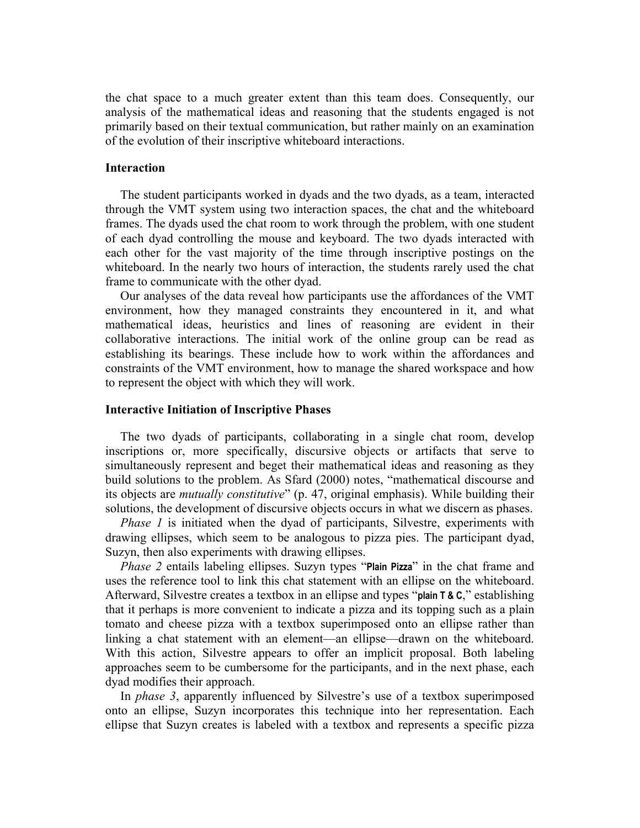the chat space to a much greater extent than this team does. Consequently, our analysis of the mathematical ideas and reasoning that the students engaged is not primarily based on their textual communication, but rather mainly on an examination of the evolution of their inscriptive whiteboard interactions.

#### **Interaction**

The student participants worked in dyads and the two dyads, as a team, interacted through the VMT system using two interaction spaces, the chat and the whiteboard frames. The dyads used the chat room to work through the problem, with one student of each dyad controlling the mouse and keyboard. The two dyads interacted with each other for the vast majority of the time through inscriptive postings on the whiteboard. In the nearly two hours of interaction, the students rarely used the chat frame to communicate with the other dyad.

Our analyses of the data reveal how participants use the affordances of the VMT environment, how they managed constraints they encountered in it, and what mathematical ideas, heuristics and lines of reasoning are evident in their collaborative interactions. The initial work of the online group can be read as establishing its bearings. These include how to work within the affordances and constraints of the VMT environment, how to manage the shared workspace and how to represent the object with which they will work.

#### **Interactive Initiation of Inscriptive Phases**

The two dyads of participants, collaborating in a single chat room, develop inscriptions or, more specifically, discursive objects or artifacts that serve to simultaneously represent and beget their mathematical ideas and reasoning as they build solutions to the problem. As Sfard (2000) notes, "mathematical discourse and its objects are *mutually constitutive*" (p. 47, original emphasis). While building their solutions, the development of discursive objects occurs in what we discern as phases.

*Phase 1* is initiated when the dyad of participants, Silvestre, experiments with drawing ellipses, which seem to be analogous to pizza pies. The participant dyad, Suzyn, then also experiments with drawing ellipses.

*Phase 2* entails labeling ellipses. Suzyn types "**Plain Pizza**" in the chat frame and uses the reference tool to link this chat statement with an ellipse on the whiteboard. Afterward, Silvestre creates a textbox in an ellipse and types "**plain T & C**," establishing that it perhaps is more convenient to indicate a pizza and its topping such as a plain tomato and cheese pizza with a textbox superimposed onto an ellipse rather than linking a chat statement with an element—an ellipse—drawn on the whiteboard. With this action, Silvestre appears to offer an implicit proposal. Both labeling approaches seem to be cumbersome for the participants, and in the next phase, each dyad modifies their approach.

In *phase 3*, apparently influenced by Silvestre's use of a textbox superimposed onto an ellipse, Suzyn incorporates this technique into her representation. Each ellipse that Suzyn creates is labeled with a textbox and represents a specific pizza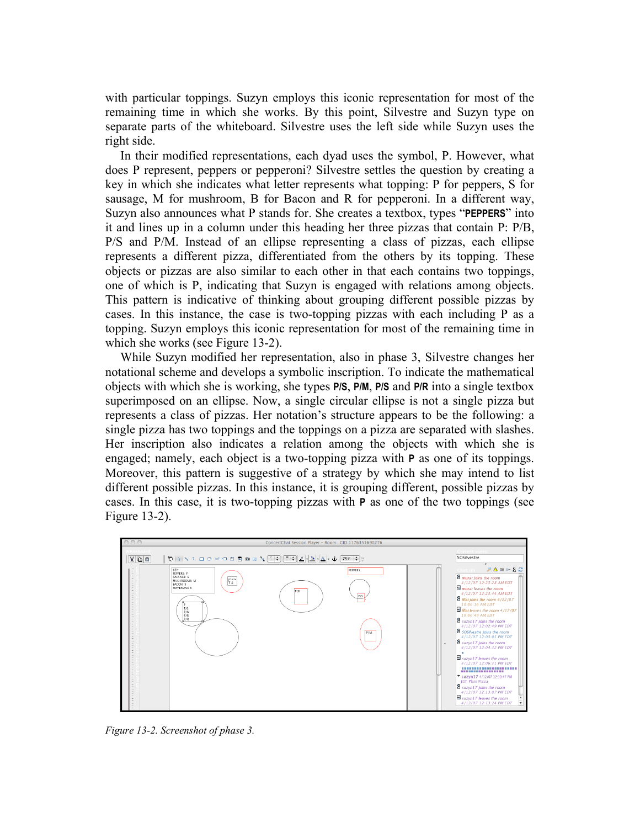with particular toppings. Suzyn employs this iconic representation for most of the remaining time in which she works. By this point, Silvestre and Suzyn type on separate parts of the whiteboard. Silvestre uses the left side while Suzyn uses the right side.

In their modified representations, each dyad uses the symbol, P. However, what does P represent, peppers or pepperoni? Silvestre settles the question by creating a key in which she indicates what letter represents what topping: P for peppers, S for sausage, M for mushroom, B for Bacon and R for pepperoni. In a different way, Suzyn also announces what P stands for. She creates a textbox, types "**PEPPERS**" into it and lines up in a column under this heading her three pizzas that contain P: P/B, P/S and P/M. Instead of an ellipse representing a class of pizzas, each ellipse represents a different pizza, differentiated from the others by its topping. These objects or pizzas are also similar to each other in that each contains two toppings, one of which is P, indicating that Suzyn is engaged with relations among objects. This pattern is indicative of thinking about grouping different possible pizzas by cases. In this instance, the case is two-topping pizzas with each including P as a topping. Suzyn employs this iconic representation for most of the remaining time in which she works (see Figure 13-2).

While Suzyn modified her representation, also in phase 3, Silvestre changes her notational scheme and develops a symbolic inscription. To indicate the mathematical objects with which she is working, she types **P/S**, **P/M**, **P/S** and **P/R** into a single textbox superimposed on an ellipse. Now, a single circular ellipse is not a single pizza but represents a class of pizzas. Her notation's structure appears to be the following: a single pizza has two toppings and the toppings on a pizza are separated with slashes. Her inscription also indicates a relation among the objects with which she is engaged; namely, each object is a two-topping pizza with **P** as one of its toppings. Moreover, this pattern is suggestive of a strategy by which she may intend to list different possible pizzas. In this instance, it is grouping different, possible pizzas by cases. In this case, it is two-topping pizzas with **P** as one of the two toppings (see Figure 13-2).



*Figure 13-2. Screenshot of phase 3.*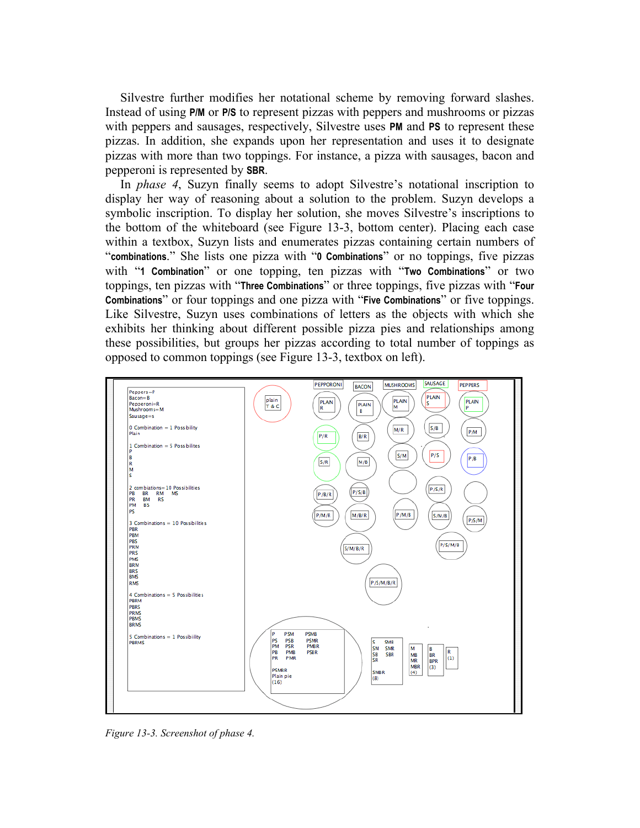Silvestre further modifies her notational scheme by removing forward slashes. Instead of using **P/M** or **P/S** to represent pizzas with peppers and mushrooms or pizzas with peppers and sausages, respectively, Silvestre uses **PM** and **PS** to represent these pizzas. In addition, she expands upon her representation and uses it to designate pizzas with more than two toppings. For instance, a pizza with sausages, bacon and pepperoni is represented by **SBR**.

In *phase 4*, Suzyn finally seems to adopt Silvestre's notational inscription to display her way of reasoning about a solution to the problem. Suzyn develops a symbolic inscription. To display her solution, she moves Silvestre's inscriptions to the bottom of the whiteboard (see Figure 13-3, bottom center). Placing each case within a textbox, Suzyn lists and enumerates pizzas containing certain numbers of "**combinations**." She lists one pizza with "**0 Combinations**" or no toppings, five pizzas with "**1 Combination**" or one topping, ten pizzas with "**Two Combinations**" or two toppings, ten pizzas with "**Three Combinations**" or three toppings, five pizzas with "**Four Combinations**" or four toppings and one pizza with "**Five Combinations**" or five toppings. Like Silvestre, Suzyn uses combinations of letters as the objects with which she exhibits her thinking about different possible pizza pies and relationships among these possibilities, but groups her pizzas according to total number of toppings as opposed to common toppings (see Figure 13-3, textbox on left).



*Figure 13-3. Screenshot of phase 4.*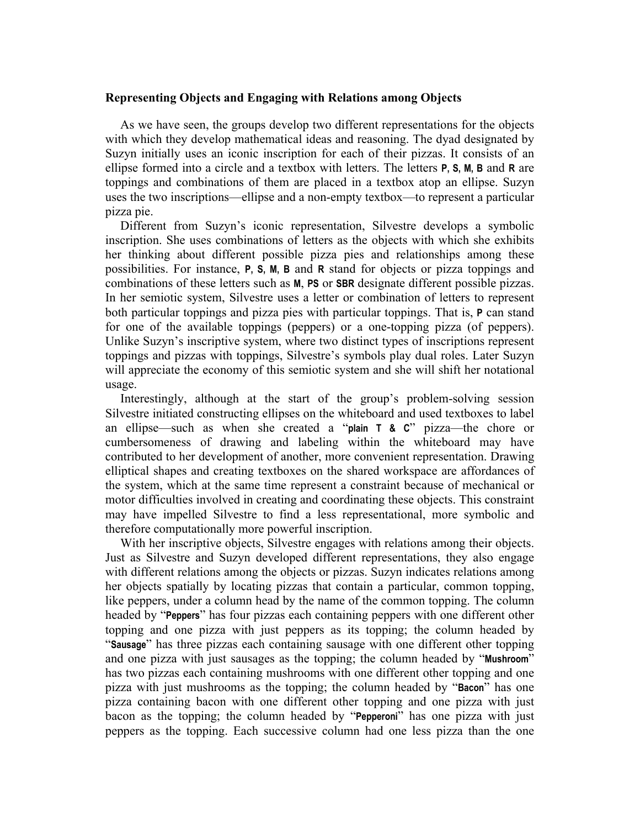#### **Representing Objects and Engaging with Relations among Objects**

As we have seen, the groups develop two different representations for the objects with which they develop mathematical ideas and reasoning. The dyad designated by Suzyn initially uses an iconic inscription for each of their pizzas. It consists of an ellipse formed into a circle and a textbox with letters. The letters **P, S, M, B** and **R** are toppings and combinations of them are placed in a textbox atop an ellipse. Suzyn uses the two inscriptions—ellipse and a non-empty textbox—to represent a particular pizza pie.

Different from Suzyn's iconic representation, Silvestre develops a symbolic inscription. She uses combinations of letters as the objects with which she exhibits her thinking about different possible pizza pies and relationships among these possibilities. For instance, **P, S, M, B** and **R** stand for objects or pizza toppings and combinations of these letters such as **M**, **PS** or **SBR** designate different possible pizzas. In her semiotic system, Silvestre uses a letter or combination of letters to represent both particular toppings and pizza pies with particular toppings. That is, **P** can stand for one of the available toppings (peppers) or a one-topping pizza (of peppers). Unlike Suzyn's inscriptive system, where two distinct types of inscriptions represent toppings and pizzas with toppings, Silvestre's symbols play dual roles. Later Suzyn will appreciate the economy of this semiotic system and she will shift her notational usage.

Interestingly, although at the start of the group's problem-solving session Silvestre initiated constructing ellipses on the whiteboard and used textboxes to label an ellipse—such as when she created a "**plain T & C**" pizza—the chore or cumbersomeness of drawing and labeling within the whiteboard may have contributed to her development of another, more convenient representation. Drawing elliptical shapes and creating textboxes on the shared workspace are affordances of the system, which at the same time represent a constraint because of mechanical or motor difficulties involved in creating and coordinating these objects. This constraint may have impelled Silvestre to find a less representational, more symbolic and therefore computationally more powerful inscription.

With her inscriptive objects, Silvestre engages with relations among their objects. Just as Silvestre and Suzyn developed different representations, they also engage with different relations among the objects or pizzas. Suzyn indicates relations among her objects spatially by locating pizzas that contain a particular, common topping, like peppers, under a column head by the name of the common topping. The column headed by "**Peppers**" has four pizzas each containing peppers with one different other topping and one pizza with just peppers as its topping; the column headed by "**Sausage**" has three pizzas each containing sausage with one different other topping and one pizza with just sausages as the topping; the column headed by "**Mushroom**" has two pizzas each containing mushrooms with one different other topping and one pizza with just mushrooms as the topping; the column headed by "**Bacon**" has one pizza containing bacon with one different other topping and one pizza with just bacon as the topping; the column headed by "**Pepperoni**" has one pizza with just peppers as the topping. Each successive column had one less pizza than the one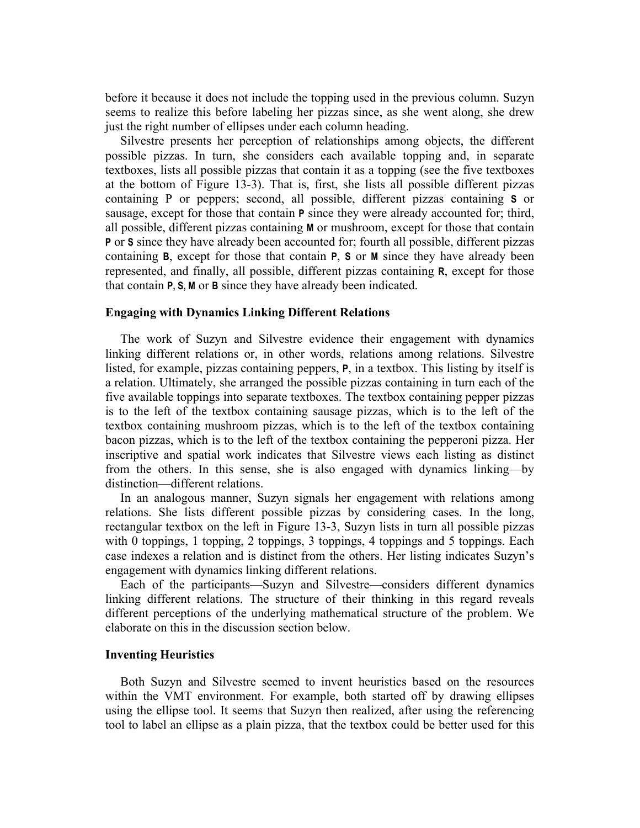before it because it does not include the topping used in the previous column. Suzyn seems to realize this before labeling her pizzas since, as she went along, she drew just the right number of ellipses under each column heading.

Silvestre presents her perception of relationships among objects, the different possible pizzas. In turn, she considers each available topping and, in separate textboxes, lists all possible pizzas that contain it as a topping (see the five textboxes at the bottom of Figure 13-3). That is, first, she lists all possible different pizzas containing P or peppers; second, all possible, different pizzas containing **S** or sausage, except for those that contain **P** since they were already accounted for; third, all possible, different pizzas containing **M** or mushroom, except for those that contain **P** or **S** since they have already been accounted for; fourth all possible, different pizzas containing **B**, except for those that contain **P**, **S** or **M** since they have already been represented, and finally, all possible, different pizzas containing **R**, except for those that contain **P, S, M** or **B** since they have already been indicated.

#### **Engaging with Dynamics Linking Different Relations**

The work of Suzyn and Silvestre evidence their engagement with dynamics linking different relations or, in other words, relations among relations. Silvestre listed, for example, pizzas containing peppers, **P**, in a textbox. This listing by itself is a relation. Ultimately, she arranged the possible pizzas containing in turn each of the five available toppings into separate textboxes. The textbox containing pepper pizzas is to the left of the textbox containing sausage pizzas, which is to the left of the textbox containing mushroom pizzas, which is to the left of the textbox containing bacon pizzas, which is to the left of the textbox containing the pepperoni pizza. Her inscriptive and spatial work indicates that Silvestre views each listing as distinct from the others. In this sense, she is also engaged with dynamics linking—by distinction—different relations.

In an analogous manner, Suzyn signals her engagement with relations among relations. She lists different possible pizzas by considering cases. In the long, rectangular textbox on the left in Figure 13-3, Suzyn lists in turn all possible pizzas with 0 toppings, 1 topping, 2 toppings, 3 toppings, 4 toppings and 5 toppings. Each case indexes a relation and is distinct from the others. Her listing indicates Suzyn's engagement with dynamics linking different relations.

Each of the participants—Suzyn and Silvestre—considers different dynamics linking different relations. The structure of their thinking in this regard reveals different perceptions of the underlying mathematical structure of the problem. We elaborate on this in the discussion section below.

#### **Inventing Heuristics**

Both Suzyn and Silvestre seemed to invent heuristics based on the resources within the VMT environment. For example, both started off by drawing ellipses using the ellipse tool. It seems that Suzyn then realized, after using the referencing tool to label an ellipse as a plain pizza, that the textbox could be better used for this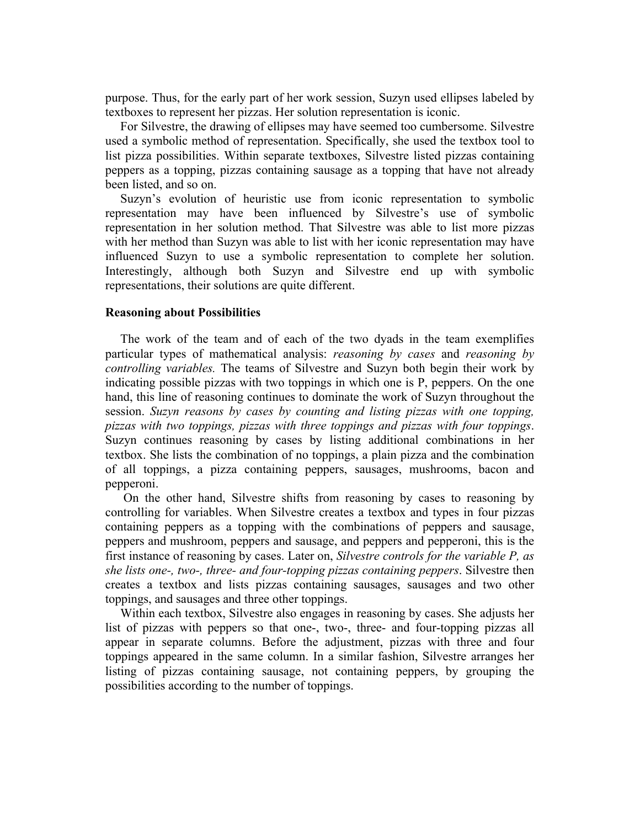purpose. Thus, for the early part of her work session, Suzyn used ellipses labeled by textboxes to represent her pizzas. Her solution representation is iconic.

For Silvestre, the drawing of ellipses may have seemed too cumbersome. Silvestre used a symbolic method of representation. Specifically, she used the textbox tool to list pizza possibilities. Within separate textboxes, Silvestre listed pizzas containing peppers as a topping, pizzas containing sausage as a topping that have not already been listed, and so on.

Suzyn's evolution of heuristic use from iconic representation to symbolic representation may have been influenced by Silvestre's use of symbolic representation in her solution method. That Silvestre was able to list more pizzas with her method than Suzyn was able to list with her iconic representation may have influenced Suzyn to use a symbolic representation to complete her solution. Interestingly, although both Suzyn and Silvestre end up with symbolic representations, their solutions are quite different.

#### **Reasoning about Possibilities**

The work of the team and of each of the two dyads in the team exemplifies particular types of mathematical analysis: *reasoning by cases* and *reasoning by controlling variables.* The teams of Silvestre and Suzyn both begin their work by indicating possible pizzas with two toppings in which one is P, peppers. On the one hand, this line of reasoning continues to dominate the work of Suzyn throughout the session. *Suzyn reasons by cases by counting and listing pizzas with one topping, pizzas with two toppings, pizzas with three toppings and pizzas with four toppings*. Suzyn continues reasoning by cases by listing additional combinations in her textbox. She lists the combination of no toppings, a plain pizza and the combination of all toppings, a pizza containing peppers, sausages, mushrooms, bacon and pepperoni.

 On the other hand, Silvestre shifts from reasoning by cases to reasoning by controlling for variables. When Silvestre creates a textbox and types in four pizzas containing peppers as a topping with the combinations of peppers and sausage, peppers and mushroom, peppers and sausage, and peppers and pepperoni, this is the first instance of reasoning by cases. Later on, *Silvestre controls for the variable P, as she lists one-, two-, three- and four-topping pizzas containing peppers*. Silvestre then creates a textbox and lists pizzas containing sausages, sausages and two other toppings, and sausages and three other toppings.

Within each textbox, Silvestre also engages in reasoning by cases. She adjusts her list of pizzas with peppers so that one-, two-, three- and four-topping pizzas all appear in separate columns. Before the adjustment, pizzas with three and four toppings appeared in the same column. In a similar fashion, Silvestre arranges her listing of pizzas containing sausage, not containing peppers, by grouping the possibilities according to the number of toppings.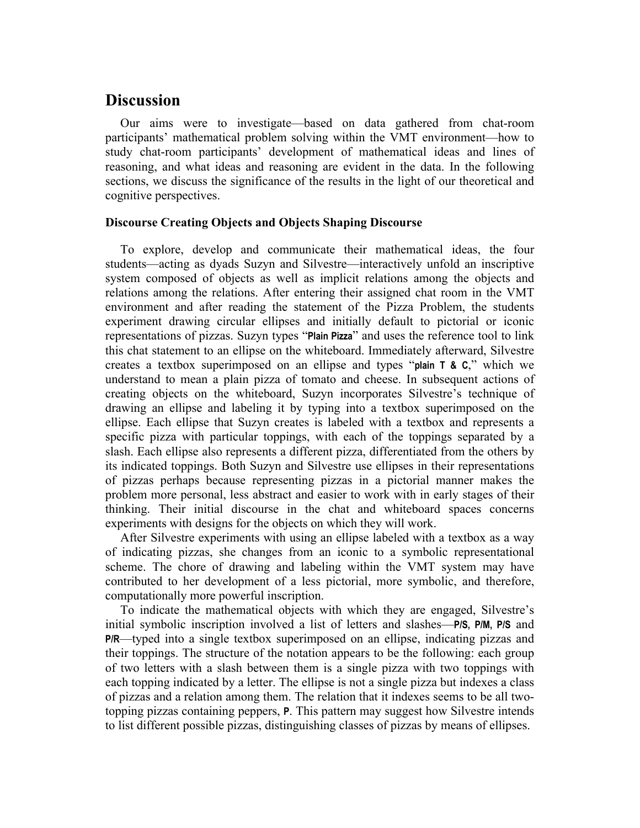### **Discussion**

Our aims were to investigate—based on data gathered from chat-room participants' mathematical problem solving within the VMT environment—how to study chat-room participants' development of mathematical ideas and lines of reasoning, and what ideas and reasoning are evident in the data. In the following sections, we discuss the significance of the results in the light of our theoretical and cognitive perspectives.

#### **Discourse Creating Objects and Objects Shaping Discourse**

To explore, develop and communicate their mathematical ideas, the four students—acting as dyads Suzyn and Silvestre—interactively unfold an inscriptive system composed of objects as well as implicit relations among the objects and relations among the relations. After entering their assigned chat room in the VMT environment and after reading the statement of the Pizza Problem, the students experiment drawing circular ellipses and initially default to pictorial or iconic representations of pizzas. Suzyn types "**Plain Pizza**" and uses the reference tool to link this chat statement to an ellipse on the whiteboard. Immediately afterward, Silvestre creates a textbox superimposed on an ellipse and types "**plain T & C**," which we understand to mean a plain pizza of tomato and cheese. In subsequent actions of creating objects on the whiteboard, Suzyn incorporates Silvestre's technique of drawing an ellipse and labeling it by typing into a textbox superimposed on the ellipse. Each ellipse that Suzyn creates is labeled with a textbox and represents a specific pizza with particular toppings, with each of the toppings separated by a slash. Each ellipse also represents a different pizza, differentiated from the others by its indicated toppings. Both Suzyn and Silvestre use ellipses in their representations of pizzas perhaps because representing pizzas in a pictorial manner makes the problem more personal, less abstract and easier to work with in early stages of their thinking. Their initial discourse in the chat and whiteboard spaces concerns experiments with designs for the objects on which they will work.

After Silvestre experiments with using an ellipse labeled with a textbox as a way of indicating pizzas, she changes from an iconic to a symbolic representational scheme. The chore of drawing and labeling within the VMT system may have contributed to her development of a less pictorial, more symbolic, and therefore, computationally more powerful inscription.

To indicate the mathematical objects with which they are engaged, Silvestre's initial symbolic inscription involved a list of letters and slashes—**P/S, P/M, P/S** and **P/R**—typed into a single textbox superimposed on an ellipse, indicating pizzas and their toppings. The structure of the notation appears to be the following: each group of two letters with a slash between them is a single pizza with two toppings with each topping indicated by a letter. The ellipse is not a single pizza but indexes a class of pizzas and a relation among them. The relation that it indexes seems to be all twotopping pizzas containing peppers, **P**. This pattern may suggest how Silvestre intends to list different possible pizzas, distinguishing classes of pizzas by means of ellipses.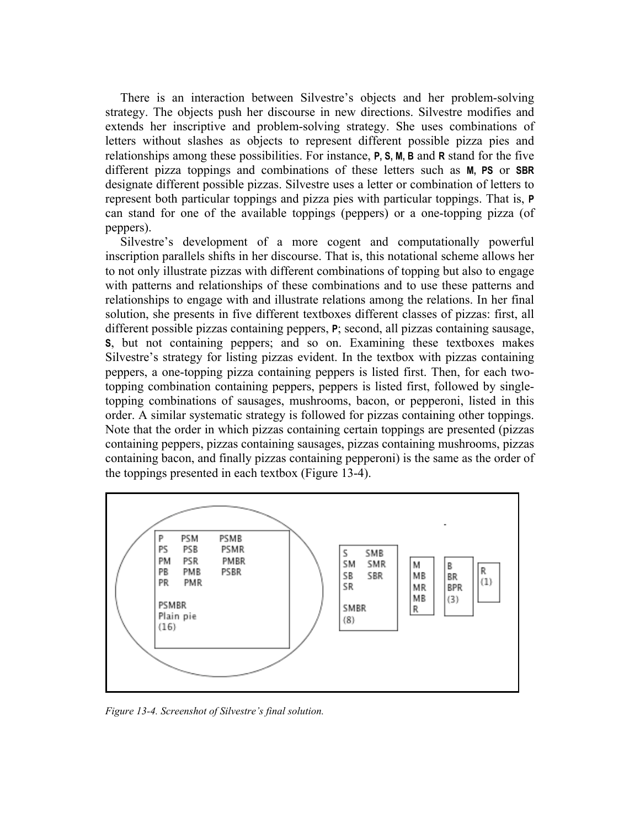There is an interaction between Silvestre's objects and her problem-solving strategy. The objects push her discourse in new directions. Silvestre modifies and extends her inscriptive and problem-solving strategy. She uses combinations of letters without slashes as objects to represent different possible pizza pies and relationships among these possibilities. For instance, **P, S, M, B** and **R** stand for the five different pizza toppings and combinations of these letters such as **M, PS** or **SBR** designate different possible pizzas. Silvestre uses a letter or combination of letters to represent both particular toppings and pizza pies with particular toppings. That is, **P** can stand for one of the available toppings (peppers) or a one-topping pizza (of peppers).

Silvestre's development of a more cogent and computationally powerful inscription parallels shifts in her discourse. That is, this notational scheme allows her to not only illustrate pizzas with different combinations of topping but also to engage with patterns and relationships of these combinations and to use these patterns and relationships to engage with and illustrate relations among the relations. In her final solution, she presents in five different textboxes different classes of pizzas: first, all different possible pizzas containing peppers, **P**; second, all pizzas containing sausage, **S**, but not containing peppers; and so on. Examining these textboxes makes Silvestre's strategy for listing pizzas evident. In the textbox with pizzas containing peppers, a one-topping pizza containing peppers is listed first. Then, for each twotopping combination containing peppers, peppers is listed first, followed by singletopping combinations of sausages, mushrooms, bacon, or pepperoni, listed in this order. A similar systematic strategy is followed for pizzas containing other toppings. Note that the order in which pizzas containing certain toppings are presented (pizzas containing peppers, pizzas containing sausages, pizzas containing mushrooms, pizzas containing bacon, and finally pizzas containing pepperoni) is the same as the order of the toppings presented in each textbox (Figure 13-4).



*Figure 13-4. Screenshot of Silvestre's final solution.*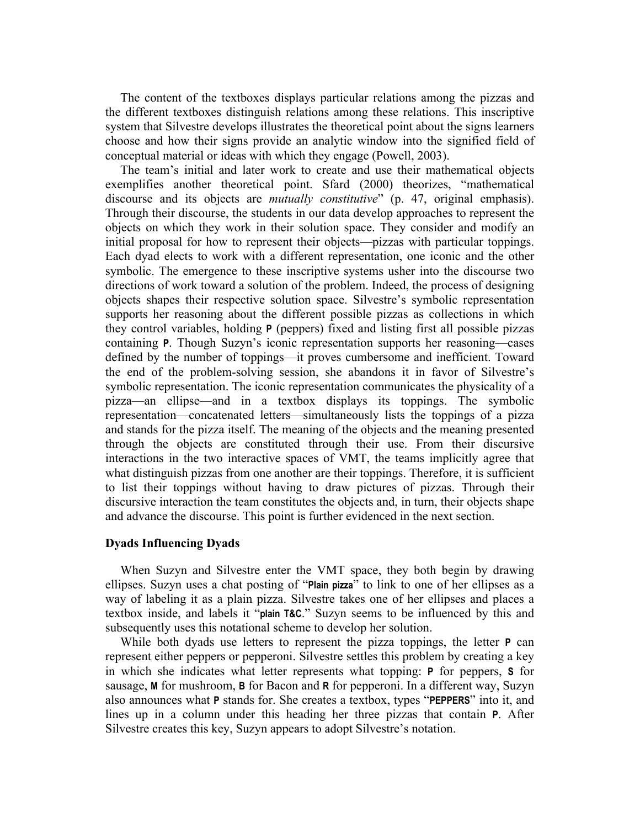The content of the textboxes displays particular relations among the pizzas and the different textboxes distinguish relations among these relations. This inscriptive system that Silvestre develops illustrates the theoretical point about the signs learners choose and how their signs provide an analytic window into the signified field of conceptual material or ideas with which they engage (Powell, 2003).

The team's initial and later work to create and use their mathematical objects exemplifies another theoretical point. Sfard (2000) theorizes, "mathematical discourse and its objects are *mutually constitutive*" (p. 47, original emphasis). Through their discourse, the students in our data develop approaches to represent the objects on which they work in their solution space. They consider and modify an initial proposal for how to represent their objects—pizzas with particular toppings. Each dyad elects to work with a different representation, one iconic and the other symbolic. The emergence to these inscriptive systems usher into the discourse two directions of work toward a solution of the problem. Indeed, the process of designing objects shapes their respective solution space. Silvestre's symbolic representation supports her reasoning about the different possible pizzas as collections in which they control variables, holding **P** (peppers) fixed and listing first all possible pizzas containing **P**. Though Suzyn's iconic representation supports her reasoning—cases defined by the number of toppings—it proves cumbersome and inefficient. Toward the end of the problem-solving session, she abandons it in favor of Silvestre's symbolic representation. The iconic representation communicates the physicality of a pizza—an ellipse—and in a textbox displays its toppings. The symbolic representation—concatenated letters—simultaneously lists the toppings of a pizza and stands for the pizza itself. The meaning of the objects and the meaning presented through the objects are constituted through their use. From their discursive interactions in the two interactive spaces of VMT, the teams implicitly agree that what distinguish pizzas from one another are their toppings. Therefore, it is sufficient to list their toppings without having to draw pictures of pizzas. Through their discursive interaction the team constitutes the objects and, in turn, their objects shape and advance the discourse. This point is further evidenced in the next section.

#### **Dyads Influencing Dyads**

When Suzyn and Silvestre enter the VMT space, they both begin by drawing ellipses. Suzyn uses a chat posting of "**Plain pizza**" to link to one of her ellipses as a way of labeling it as a plain pizza. Silvestre takes one of her ellipses and places a textbox inside, and labels it "**plain T&C**." Suzyn seems to be influenced by this and subsequently uses this notational scheme to develop her solution.

While both dyads use letters to represent the pizza toppings, the letter **P** can represent either peppers or pepperoni. Silvestre settles this problem by creating a key in which she indicates what letter represents what topping: **P** for peppers, **S** for sausage, **M** for mushroom, **B** for Bacon and **R** for pepperoni. In a different way, Suzyn also announces what **P** stands for. She creates a textbox, types "**PEPPERS**" into it, and lines up in a column under this heading her three pizzas that contain **P**. After Silvestre creates this key, Suzyn appears to adopt Silvestre's notation.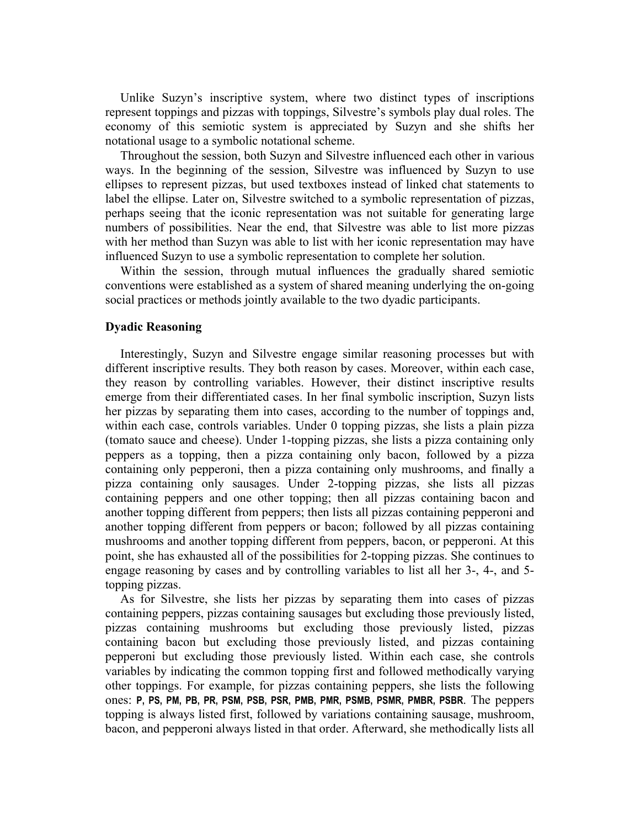Unlike Suzyn's inscriptive system, where two distinct types of inscriptions represent toppings and pizzas with toppings, Silvestre's symbols play dual roles. The economy of this semiotic system is appreciated by Suzyn and she shifts her notational usage to a symbolic notational scheme.

Throughout the session, both Suzyn and Silvestre influenced each other in various ways. In the beginning of the session, Silvestre was influenced by Suzyn to use ellipses to represent pizzas, but used textboxes instead of linked chat statements to label the ellipse. Later on, Silvestre switched to a symbolic representation of pizzas, perhaps seeing that the iconic representation was not suitable for generating large numbers of possibilities. Near the end, that Silvestre was able to list more pizzas with her method than Suzyn was able to list with her iconic representation may have influenced Suzyn to use a symbolic representation to complete her solution.

Within the session, through mutual influences the gradually shared semiotic conventions were established as a system of shared meaning underlying the on-going social practices or methods jointly available to the two dyadic participants.

#### **Dyadic Reasoning**

Interestingly, Suzyn and Silvestre engage similar reasoning processes but with different inscriptive results. They both reason by cases. Moreover, within each case, they reason by controlling variables. However, their distinct inscriptive results emerge from their differentiated cases. In her final symbolic inscription, Suzyn lists her pizzas by separating them into cases, according to the number of toppings and, within each case, controls variables. Under 0 topping pizzas, she lists a plain pizza (tomato sauce and cheese). Under 1-topping pizzas, she lists a pizza containing only peppers as a topping, then a pizza containing only bacon, followed by a pizza containing only pepperoni, then a pizza containing only mushrooms, and finally a pizza containing only sausages. Under 2-topping pizzas, she lists all pizzas containing peppers and one other topping; then all pizzas containing bacon and another topping different from peppers; then lists all pizzas containing pepperoni and another topping different from peppers or bacon; followed by all pizzas containing mushrooms and another topping different from peppers, bacon, or pepperoni. At this point, she has exhausted all of the possibilities for 2-topping pizzas. She continues to engage reasoning by cases and by controlling variables to list all her 3-, 4-, and 5 topping pizzas.

As for Silvestre, she lists her pizzas by separating them into cases of pizzas containing peppers, pizzas containing sausages but excluding those previously listed, pizzas containing mushrooms but excluding those previously listed, pizzas containing bacon but excluding those previously listed, and pizzas containing pepperoni but excluding those previously listed. Within each case, she controls variables by indicating the common topping first and followed methodically varying other toppings. For example, for pizzas containing peppers, she lists the following ones: **P, PS, PM, PB, PR, PSM, PSB, PSR, PMB, PMR, PSMB, PSMR, PMBR, PSBR**. The peppers topping is always listed first, followed by variations containing sausage, mushroom, bacon, and pepperoni always listed in that order. Afterward, she methodically lists all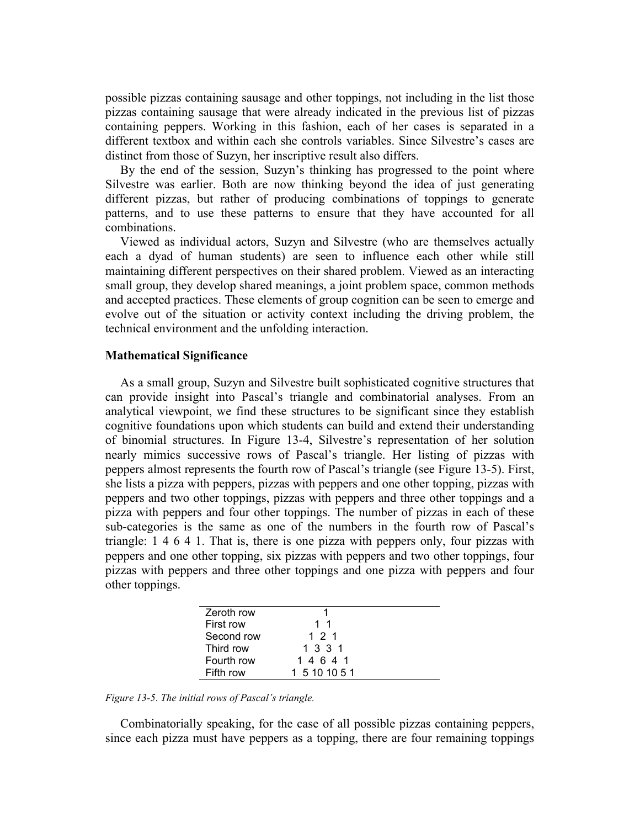possible pizzas containing sausage and other toppings, not including in the list those pizzas containing sausage that were already indicated in the previous list of pizzas containing peppers. Working in this fashion, each of her cases is separated in a different textbox and within each she controls variables. Since Silvestre's cases are distinct from those of Suzyn, her inscriptive result also differs.

By the end of the session, Suzyn's thinking has progressed to the point where Silvestre was earlier. Both are now thinking beyond the idea of just generating different pizzas, but rather of producing combinations of toppings to generate patterns, and to use these patterns to ensure that they have accounted for all combinations.

Viewed as individual actors, Suzyn and Silvestre (who are themselves actually each a dyad of human students) are seen to influence each other while still maintaining different perspectives on their shared problem. Viewed as an interacting small group, they develop shared meanings, a joint problem space, common methods and accepted practices. These elements of group cognition can be seen to emerge and evolve out of the situation or activity context including the driving problem, the technical environment and the unfolding interaction.

#### **Mathematical Significance**

As a small group, Suzyn and Silvestre built sophisticated cognitive structures that can provide insight into Pascal's triangle and combinatorial analyses. From an analytical viewpoint, we find these structures to be significant since they establish cognitive foundations upon which students can build and extend their understanding of binomial structures. In Figure 13-4, Silvestre's representation of her solution nearly mimics successive rows of Pascal's triangle. Her listing of pizzas with peppers almost represents the fourth row of Pascal's triangle (see Figure 13-5). First, she lists a pizza with peppers, pizzas with peppers and one other topping, pizzas with peppers and two other toppings, pizzas with peppers and three other toppings and a pizza with peppers and four other toppings. The number of pizzas in each of these sub-categories is the same as one of the numbers in the fourth row of Pascal's triangle: 1 4 6 4 1. That is, there is one pizza with peppers only, four pizzas with peppers and one other topping, six pizzas with peppers and two other toppings, four pizzas with peppers and three other toppings and one pizza with peppers and four other toppings.

| Zeroth row |               |  |
|------------|---------------|--|
| First row  | 1 1           |  |
| Second row | 1 2 1         |  |
| Third row  | 1 3 3 1       |  |
| Fourth row | 14641         |  |
| Fifth row  | 1 5 10 10 5 1 |  |

#### *Figure 13-5*. *The initial rows of Pascal's triangle.*

Combinatorially speaking, for the case of all possible pizzas containing peppers, since each pizza must have peppers as a topping, there are four remaining toppings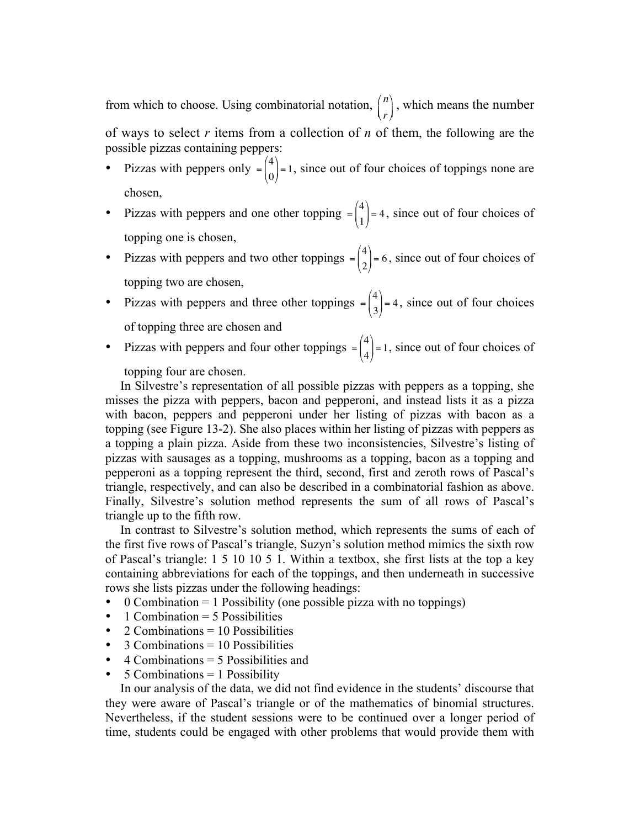from which to choose. Using combinatorial notation,  $\binom{n}{n}$ *r* ſ Í  $\backslash$  , which means the number of ways to select *r* items from a collection of *n* of them, the following are the possible pizzas containing peppers:

- Pizzas with peppers only  $=\begin{pmatrix} 4 \\ 0 \end{pmatrix}$ ſ  $\overline{\mathcal{S}}$  $\backslash$  $= 1$ , since out of four choices of toppings none are chosen,
- Pizzas with peppers and one other topping  $= \begin{pmatrix} 4 \\ 1 \end{pmatrix}$ ſ  $\overline{\mathcal{S}}$  $\backslash$  $= 4$ , since out of four choices of topping one is chosen,
- Pizzas with peppers and two other toppings  $= \begin{pmatrix} 4 \\ 2 \end{pmatrix}$ ſ  $\overline{\mathcal{S}}$  $\backslash$  $= 6$ , since out of four choices of topping two are chosen,
- Pizzas with peppers and three other toppings  $= \begin{pmatrix} 4 \\ 3 \end{pmatrix}$ ſ  $\overline{\mathcal{S}}$  $\backslash$  $= 4$ , since out of four choices of topping three are chosen and
- € • Pizzas with peppers and four other toppings  $= \begin{pmatrix} 4 \\ 4 \end{pmatrix}$ ſ  $\overline{\mathcal{S}}$ Ι  $= 1$ , since out of four choices of

topping four are chosen.

misses the pizza with peppers, bacon and pepperoni, and instead lists it as a pizza In Silvestre's representation of all possible pizzas with peppers as a topping, she with bacon, peppers and pepperoni under her listing of pizzas with bacon as a topping (see Figure 13-2). She also places within her listing of pizzas with peppers as a topping a plain pizza. Aside from these two inconsistencies, Silvestre's listing of pizzas with sausages as a topping, mushrooms as a topping, bacon as a topping and pepperoni as a topping represent the third, second, first and zeroth rows of Pascal's triangle, respectively, and can also be described in a combinatorial fashion as above. Finally, Silvestre's solution method represents the sum of all rows of Pascal's triangle up to the fifth row.

In contrast to Silvestre's solution method, which represents the sums of each of the first five rows of Pascal's triangle, Suzyn's solution method mimics the sixth row of Pascal's triangle: 1 5 10 10 5 1. Within a textbox, she first lists at the top a key containing abbreviations for each of the toppings, and then underneath in successive rows she lists pizzas under the following headings:

- $\alpha$  Combination = 1 Possibility (one possible pizza with no toppings)
- 1 Combination  $= 5$  Possibilities
- 2 Combinations  $= 10$  Possibilities
- $3$  Combinations = 10 Possibilities
- 4 Combinations = 5 Possibilities and
- 5 Combinations = 1 Possibility

In our analysis of the data, we did not find evidence in the students' discourse that they were aware of Pascal's triangle or of the mathematics of binomial structures. Nevertheless, if the student sessions were to be continued over a longer period of time, students could be engaged with other problems that would provide them with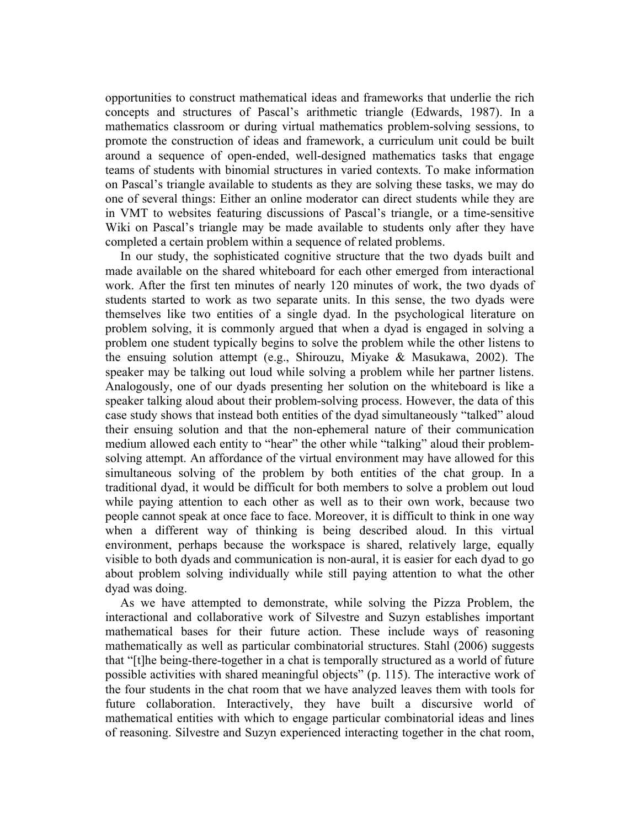opportunities to construct mathematical ideas and frameworks that underlie the rich concepts and structures of Pascal's arithmetic triangle (Edwards, 1987). In a mathematics classroom or during virtual mathematics problem-solving sessions, to promote the construction of ideas and framework, a curriculum unit could be built around a sequence of open-ended, well-designed mathematics tasks that engage teams of students with binomial structures in varied contexts. To make information on Pascal's triangle available to students as they are solving these tasks, we may do one of several things: Either an online moderator can direct students while they are in VMT to websites featuring discussions of Pascal's triangle, or a time-sensitive Wiki on Pascal's triangle may be made available to students only after they have completed a certain problem within a sequence of related problems.

In our study, the sophisticated cognitive structure that the two dyads built and made available on the shared whiteboard for each other emerged from interactional work. After the first ten minutes of nearly 120 minutes of work, the two dyads of students started to work as two separate units. In this sense, the two dyads were themselves like two entities of a single dyad. In the psychological literature on problem solving, it is commonly argued that when a dyad is engaged in solving a problem one student typically begins to solve the problem while the other listens to the ensuing solution attempt (e.g., Shirouzu, Miyake & Masukawa, 2002). The speaker may be talking out loud while solving a problem while her partner listens. Analogously, one of our dyads presenting her solution on the whiteboard is like a speaker talking aloud about their problem-solving process. However, the data of this case study shows that instead both entities of the dyad simultaneously "talked" aloud their ensuing solution and that the non-ephemeral nature of their communication medium allowed each entity to "hear" the other while "talking" aloud their problemsolving attempt. An affordance of the virtual environment may have allowed for this simultaneous solving of the problem by both entities of the chat group. In a traditional dyad, it would be difficult for both members to solve a problem out loud while paying attention to each other as well as to their own work, because two people cannot speak at once face to face. Moreover, it is difficult to think in one way when a different way of thinking is being described aloud. In this virtual environment, perhaps because the workspace is shared, relatively large, equally visible to both dyads and communication is non-aural, it is easier for each dyad to go about problem solving individually while still paying attention to what the other dyad was doing.

As we have attempted to demonstrate, while solving the Pizza Problem, the interactional and collaborative work of Silvestre and Suzyn establishes important mathematical bases for their future action. These include ways of reasoning mathematically as well as particular combinatorial structures. Stahl (2006) suggests that "[t]he being-there-together in a chat is temporally structured as a world of future possible activities with shared meaningful objects" (p. 115). The interactive work of the four students in the chat room that we have analyzed leaves them with tools for future collaboration. Interactively, they have built a discursive world of mathematical entities with which to engage particular combinatorial ideas and lines of reasoning. Silvestre and Suzyn experienced interacting together in the chat room,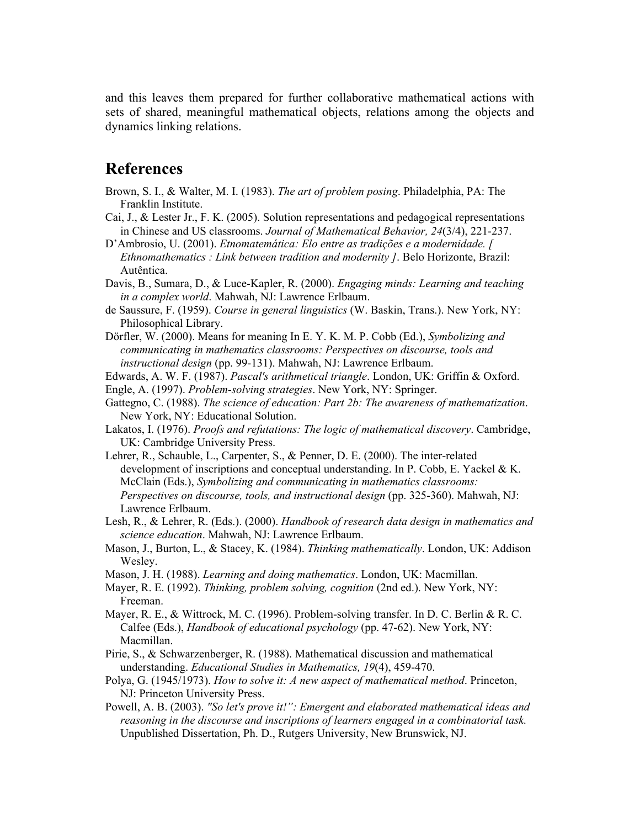and this leaves them prepared for further collaborative mathematical actions with sets of shared, meaningful mathematical objects, relations among the objects and dynamics linking relations.

## **References**

- Brown, S. I., & Walter, M. I. (1983). *The art of problem posing*. Philadelphia, PA: The Franklin Institute.
- Cai, J., & Lester Jr., F. K. (2005). Solution representations and pedagogical representations in Chinese and US classrooms. *Journal of Mathematical Behavior, 24*(3/4), 221-237.
- D'Ambrosio, U. (2001). *Etnomatemática: Elo entre as tradições e a modernidade. [ Ethnomathematics : Link between tradition and modernity ]*. Belo Horizonte, Brazil: Autêntica.
- Davis, B., Sumara, D., & Luce-Kapler, R. (2000). *Engaging minds: Learning and teaching in a complex world*. Mahwah, NJ: Lawrence Erlbaum.
- de Saussure, F. (1959). *Course in general linguistics* (W. Baskin, Trans.). New York, NY: Philosophical Library.
- Dörfler, W. (2000). Means for meaning In E. Y. K. M. P. Cobb (Ed.), *Symbolizing and communicating in mathematics classrooms: Perspectives on discourse, tools and instructional design* (pp. 99-131). Mahwah, NJ: Lawrence Erlbaum.
- Edwards, A. W. F. (1987). *Pascal's arithmetical triangle*. London, UK: Griffin & Oxford.
- Engle, A. (1997). *Problem-solving strategies*. New York, NY: Springer.
- Gattegno, C. (1988). *The science of education: Part 2b: The awareness of mathematization*. New York, NY: Educational Solution.
- Lakatos, I. (1976). *Proofs and refutations: The logic of mathematical discovery*. Cambridge, UK: Cambridge University Press.
- Lehrer, R., Schauble, L., Carpenter, S., & Penner, D. E. (2000). The inter-related development of inscriptions and conceptual understanding. In P. Cobb, E. Yackel & K. McClain (Eds.), *Symbolizing and communicating in mathematics classrooms: Perspectives on discourse, tools, and instructional design* (pp. 325-360). Mahwah, NJ: Lawrence Erlbaum.
- Lesh, R., & Lehrer, R. (Eds.). (2000). *Handbook of research data design in mathematics and science education*. Mahwah, NJ: Lawrence Erlbaum.
- Mason, J., Burton, L., & Stacey, K. (1984). *Thinking mathematically*. London, UK: Addison Wesley.
- Mason, J. H. (1988). *Learning and doing mathematics*. London, UK: Macmillan.
- Mayer, R. E. (1992). *Thinking, problem solving, cognition* (2nd ed.). New York, NY: Freeman.
- Mayer, R. E., & Wittrock, M. C. (1996). Problem-solving transfer. In D. C. Berlin & R. C. Calfee (Eds.), *Handbook of educational psychology* (pp. 47-62). New York, NY: Macmillan.
- Pirie, S., & Schwarzenberger, R. (1988). Mathematical discussion and mathematical understanding. *Educational Studies in Mathematics, 19*(4), 459-470.
- Polya, G. (1945/1973). *How to solve it: A new aspect of mathematical method*. Princeton, NJ: Princeton University Press.
- Powell, A. B. (2003). *"So let's prove it!": Emergent and elaborated mathematical ideas and reasoning in the discourse and inscriptions of learners engaged in a combinatorial task.* Unpublished Dissertation, Ph. D., Rutgers University, New Brunswick, NJ.